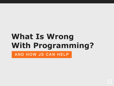### **What Is Wrong With Programming?** AND HOW JS CAN HELP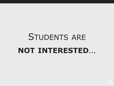## STUDENTS ARE **NOT INTERESTED**…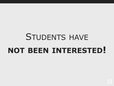# STUDENTS HAVE **NOT BEEN INTERESTED!**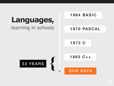### **Languages,** learning in schools

33 YEARS **{**

#### 1964 BASIC

#### 1970 PASCAL

1972 C

1983 C++

OUR DAYS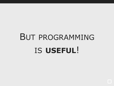# BUT PROGRAMMING IS **USEFUL**!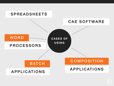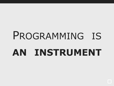# PROGRAMMING IS **AN INSTRUMENT**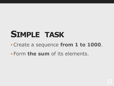### **SIMPLE TASK**

- •Create a sequence **from 1 to 1000**.
- Form **the sum** of its elements.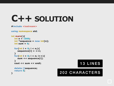### **C++ SOLUTION**

**#include <iostream>**

```
using namespace std;
```

```
int main(){
   int n = 1000;
   int *sequence = new int[n];
   int sum = 0;
  for(int i = 0; i < n;){
      sequence[i] = ++i;
    }
  for(int i = 0; i < n; i++){
      sum += sequence[i];
    }
   cout << sum << endl;
   delete []sequence; 
   return 0;
}
```


#### 202 CHARACTERS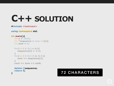### **C++ SOLUTION**

#### **#include <iostream>**

```
using namespace std;
```

```
int main(){
   int n = 1000;
  int *sequence = new int[n];
  int sum = 0;
  for(int i = 0; i < n;){
     sequence[i] = ++i;
  }
  for(int i = 0; i < n; i++){
     sum += sequence[i];
  }
  cout << sum << endl;
```

```
 delete []sequence; 
 return 0;
```
**}**

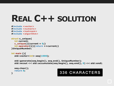### **REAL C++ SOLUTION**

```
#include <vector>
#include <numeric>
#include <iostream>
#include <algorithm>
```

```
struct c_unique{
   int current;
   c_unique(){current = 0;}
   int operator()(){return ++current;}
}UniqueNumber;
```

```
int main (){
   std::vector<int> seq(1000);
```

```
 std::generate(seq.begin(), seq.end(), UniqueNumber);
 std::wcout << std::accumulate(seq.begin(), seq.end(), 0) << std::endl;
```

```
 seq.clear();
 return 0;
```
#### **}** 336 CHARACTERS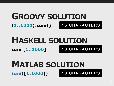#### **(1..1000).sum() GROOVY SOLUTION** 15 CHARACTERS

#### **sum [1..1000] HASKELL SOLUTION** 13 CHARACTERS

#### **sum([1:1000]) MATLAB SOLUTION** 13 CHARACTERS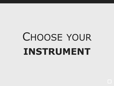# CHOOSE YOUR **INSTRUMENT**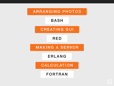ARRANGING PHOTOS

BASH

CREATING GUI

RED

MAKING A SERVER

ERLANG

CALCULATION

FORTRAN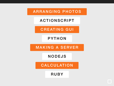ARRANGING PHOTOS

ACTIONSCRIPT

CREATING GUI

PYTHON

MAKING A SERVER

NODEJS

CALCULATION

RUBY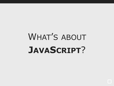# WHAT'S ABOUT **JAVASCRIPT**?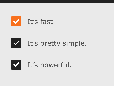





It's powerful.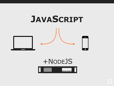

### +NODEJS

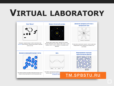### **VIRTUAL LABORATORY**

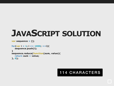### **JAVASCRIPT SOLUTION**

```
var sequence = [];
```

```
for(var i = 1; i <= 1000; ++i){
   sequence.push(i);
}
sequence.reduce(function(sum, value){
   return sum + value;
}, 0);
```
#### 114 CHARACTERS